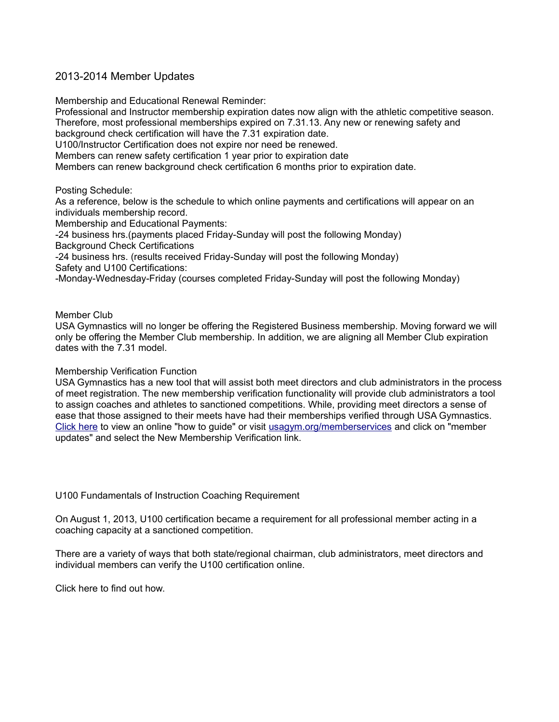## 2013-2014 Member Updates

Membership and Educational Renewal Reminder:

Professional and Instructor membership expiration dates now align with the athletic competitive season. Therefore, most professional memberships expired on 7.31.13. Any new or renewing safety and background check certification will have the 7.31 expiration date. U100/Instructor Certification does not expire nor need be renewed. Members can renew safety certification 1 year prior to expiration date Members can renew background check certification 6 months prior to expiration date.

Posting Schedule:

As a reference, below is the schedule to which online payments and certifications will appear on an individuals membership record.

Membership and Educational Payments:

-24 business hrs.(payments placed Friday-Sunday will post the following Monday)

Background Check Certifications

-24 business hrs. (results received Friday-Sunday will post the following Monday) Safety and U100 Certifications:

-Monday-Wednesday-Friday (courses completed Friday-Sunday will post the following Monday)

Member Club

USA Gymnastics will no longer be offering the Registered Business membership. Moving forward we will only be offering the Member Club membership. In addition, we are aligning all Member Club expiration dates with the 7.31 model.

## Membership Verification Function

USA Gymnastics has a new tool that will assist both meet directors and club administrators in the process of meet registration. The new membership verification functionality will provide club administrators a tool to assign coaches and athletes to sanctioned competitions. While, providing meet directors a sense of ease that those assigned to their meets have had their memberships verified through USA Gymnastics. [Click here](http://r20.rs6.net/tn.jsp?e=001GNOK5ZV1znzDYEDKmdSE7MhBGQ4bxO-pSvRHdYDJlVc0F3DY1DjSo5acML_-rrc74DnBK6q7sT_T8i_cu59Ztth4TyjhH8eOS5WLR0-WIEntHHRFgIY_7RUG8DB8TFQUcDgSl5SkibxIbC5BES0mUMlmtmlQ1ydN-5W3DFGl30IbFiC8HS-ajeyt7sx027vL) to view an online "how to guide" or visit [usagym.org/memberservices](http://r20.rs6.net/tn.jsp?e=001GNOK5ZV1znxIWYD1HB_N5LPtgEYo2egcdxPquWDUD-2GIOx4SNVZhInL2gxjvRo0KHaBLq2hFxXe4L1XCmYRSitt20atCcsWJKaRW97eF7yDJks0dNLKyQA1jvVR7WUK717H4Mkv_cn-xVU5-okpbA==) and click on "member updates" and select the New Membership Verification link.

U100 Fundamentals of Instruction Coaching Requirement

On August 1, 2013, U100 certification became a requirement for all professional member acting in a coaching capacity at a sanctioned competition.

There are a variety of ways that both state/regional chairman, club administrators, meet directors and individual members can verify the U100 certification online.

[Click here to find out how.](http://r20.rs6.net/tn.jsp?e=001GNOK5ZV1zny1fvCOumNyLf2UZNhVfmMrWWFqh5ilIOXBtmLSDeAnHvbVq6zFXBzNVmRj_PYt9fJj35iR8i5XAMhlVUtnaeEBIKsTNIlZZA7QRSDRhnR6Ra4gtSJ6inldcyFqQvFT8C9RBoCkmxf1-82YsiRVdQUoTlWRg9C_Lg8=)